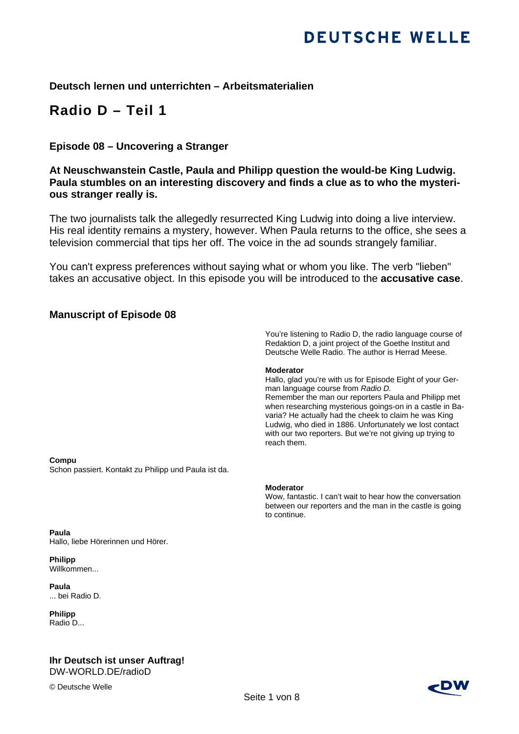## **Deutsch lernen und unterrichten – Arbeitsmaterialien**

# **Radio D – Teil 1**

## **Episode 08 – Uncovering a Stranger**

**At Neuschwanstein Castle, Paula and Philipp question the would-be King Ludwig. Paula stumbles on an interesting discovery and finds a clue as to who the mysterious stranger really is.** 

The two journalists talk the allegedly resurrected King Ludwig into doing a live interview. His real identity remains a mystery, however. When Paula returns to the office, she sees a television commercial that tips her off. The voice in the ad sounds strangely familiar.

You can't express preferences without saying what or whom you like. The verb "lieben" takes an accusative object. In this episode you will be introduced to the **accusative case**.

### **Manuscript of Episode 08**

You're listening to Radio D, the radio language course of Redaktion D, a joint project of the Goethe Institut and Deutsche Welle Radio. The author is Herrad Meese.

#### **Moderator**

Hallo, glad you're with us for Episode Eight of your German language course from *Radio D.*  Remember the man our reporters Paula and Philipp met when researching mysterious goings-on in a castle in Bavaria? He actually had the cheek to claim he was King Ludwig, who died in 1886. Unfortunately we lost contact with our two reporters. But we're not giving up trying to reach them.

#### **Compu**

Schon passiert. Kontakt zu Philipp und Paula ist da.

**Paula** Hallo, liebe Hörerinnen und Hörer.

**Philipp** Willkommen...

**Paula** ... bei Radio D.

**Philipp**  Radio D...

#### **Ihr Deutsch ist unser Auftrag!**  DW-WORLD.DE/radioD

© Deutsche Welle

#### **Moderator**

Wow, fantastic. I can't wait to hear how the conversation between our reporters and the man in the castle is going to continue.

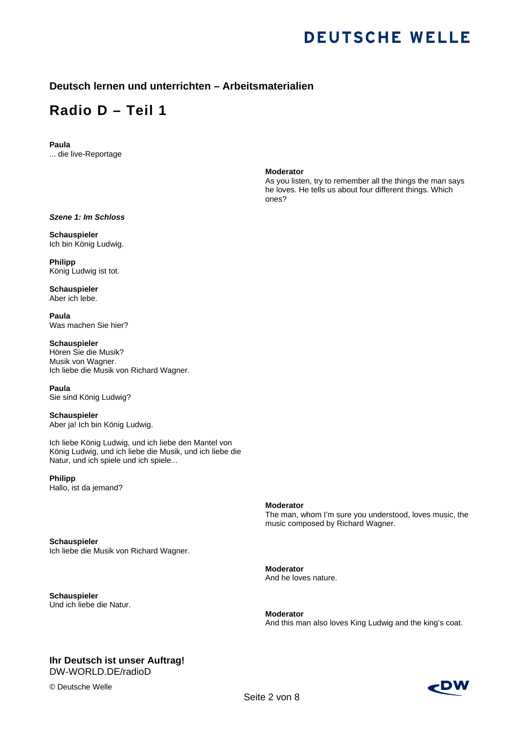### **Deutsch lernen und unterrichten – Arbeitsmaterialien**

# **Radio D – Teil 1**

## **Paula**

... die live-Reportage

#### **Moderator**

As you listen, try to remember all the things the man says he loves. He tells us about four different things. Which ones?

*Szene 1: Im Schloss* 

**Schauspieler**  Ich bin König Ludwig.

**Philipp**  König Ludwig ist tot.

**Schauspieler**  Aber ich lebe.

**Paula**  Was machen Sie hier?

**Schauspieler**  Hören Sie die Musik? Musik von Wagner. Ich liebe die Musik von Richard Wagner.

**Paula**  Sie sind König Ludwig?

**Schauspieler**  Aber ja! Ich bin König Ludwig.

Ich liebe König Ludwig, und ich liebe den Mantel von König Ludwig, und ich liebe die Musik, und ich liebe die Natur, und ich spiele und ich spiele...

**Philipp**  Hallo, ist da jemand?

**Schauspieler** 

**Schauspieler**

Und ich liebe die Natur.

**Moderator** 

The man, whom I'm sure you understood, loves music, the music composed by Richard Wagner.

**Moderator**  And he loves nature.

**Moderator**  And this man also loves King Ludwig and the king's coat.

## **Ihr Deutsch ist unser Auftrag!**

Ich liebe die Musik von Richard Wagner.

DW-WORLD.DE/radioD

© Deutsche Welle

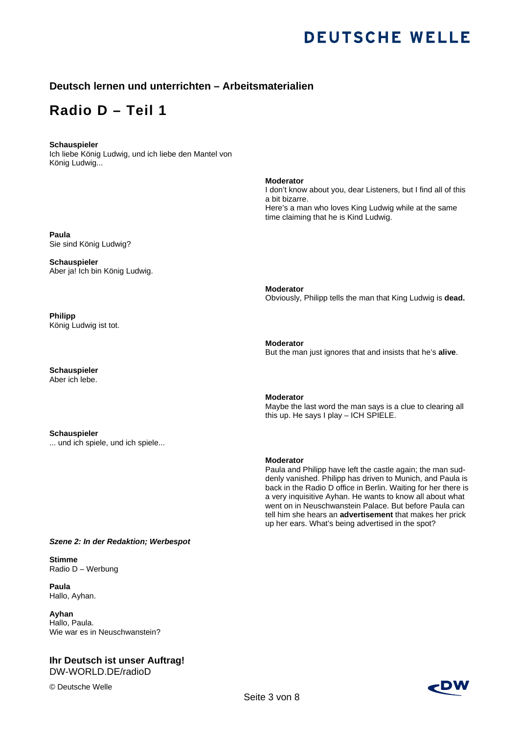### **Deutsch lernen und unterrichten – Arbeitsmaterialien**

## **Radio D – Teil 1**

#### **Schauspieler**

Ich liebe König Ludwig, und ich liebe den Mantel von König Ludwig...

**Paula**  Sie sind König Ludwig?

**Schauspieler**  Aber ja! Ich bin König Ludwig.

**Philipp**  König Ludwig ist tot.

**Schauspieler**  Aber ich lebe.

**Schauspieler**  ... und ich spiele, und ich spiele...

*Szene 2: In der Redaktion; Werbespot*

**Stimme**  Radio D – Werbung

**Paula** Hallo, Ayhan.

**Ayhan**  Hallo, Paula. Wie war es in Neuschwanstein?

#### **Ihr Deutsch ist unser Auftrag!**  DW-WORLD.DE/radioD

© Deutsche Welle

**Moderator**  I don't know about you, dear Listeners, but I find all of this a bit bizarre. Here's a man who loves King Ludwig while at the same time claiming that he is Kind Ludwig.

**Moderator**  Obviously, Philipp tells the man that King Ludwig is **dead.** 

**Moderator**  But the man just ignores that and insists that he's **alive**.

#### **Moderator**

Maybe the last word the man says is a clue to clearing all this up. He says I play – ICH SPIELE.

#### **Moderator**

Paula and Philipp have left the castle again; the man suddenly vanished. Philipp has driven to Munich, and Paula is back in the Radio D office in Berlin. Waiting for her there is a very inquisitive Ayhan. He wants to know all about what went on in Neuschwanstein Palace. But before Paula can tell him she hears an **advertisement** that makes her prick up her ears. What's being advertised in the spot?

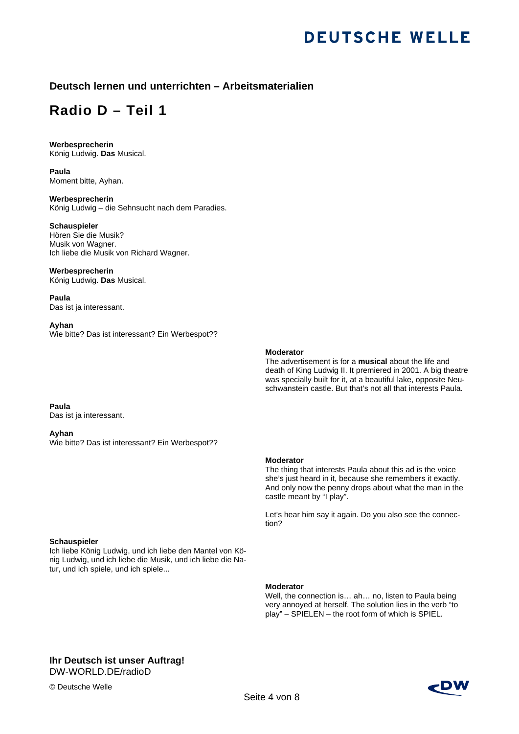### **Deutsch lernen und unterrichten – Arbeitsmaterialien**

## **Radio D – Teil 1**

## **Werbesprecherin**

König Ludwig. **Das** Musical.

**Paula**  Moment bitte, Ayhan.

**Werbesprecherin**  König Ludwig – die Sehnsucht nach dem Paradies.

#### **Schauspieler**

Hören Sie die Musik? Musik von Wagner. Ich liebe die Musik von Richard Wagner.

#### **Werbesprecherin**

König Ludwig. **Das** Musical.

**Paula**  Das ist ja interessant.

#### **Ayhan**

Wie bitte? Das ist interessant? Ein Werbespot??

#### **Moderator**

The advertisement is for a **musical** about the life and death of King Ludwig II. It premiered in 2001. A big theatre was specially built for it, at a beautiful lake, opposite Neuschwanstein castle. But that's not all that interests Paula.

**Paula** 

Das ist ja interessant.

#### **Ayhan**

Wie bitte? Das ist interessant? Ein Werbespot??

#### **Moderator**

The thing that interests Paula about this ad is the voice she's just heard in it, because she remembers it exactly. And only now the penny drops about what the man in the castle meant by "I play".

Let's hear him say it again. Do you also see the connection?

#### **Schauspieler**

Ich liebe König Ludwig, und ich liebe den Mantel von König Ludwig, und ich liebe die Musik, und ich liebe die Natur, und ich spiele, und ich spiele...

#### **Moderator**

Well, the connection is… ah… no, listen to Paula being very annoyed at herself. The solution lies in the verb "to play" – SPIELEN – the root form of which is SPIEL.

## **Ihr Deutsch ist unser Auftrag!**

DW-WORLD.DE/radioD

© Deutsche Welle

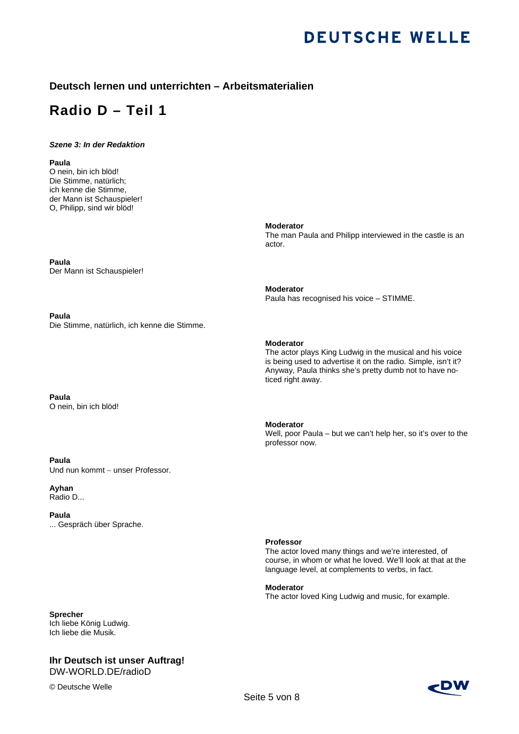### **Deutsch lernen und unterrichten – Arbeitsmaterialien**

# **Radio D – Teil 1**

#### *Szene 3: In der Redaktion*

#### **Paula**

O nein, bin ich blöd! Die Stimme, natürlich; ich kenne die Stimme, der Mann ist Schauspieler! O, Philipp, sind wir blöd!

**Paula**  Der Mann ist Schauspieler!

**Paula**  Die Stimme, natürlich, ich kenne die Stimme.

**Paula**  O nein, bin ich blöd!

#### **Paula**

Und nun kommt – unser Professor.

**Ayhan**  Radio D...

**Paula**  ... Gespräch über Sprache.

#### **Professor**

The actor loved many things and we're interested, of course, in whom or what he loved. We'll look at that at the language level, at complements to verbs, in fact.

**Moderator**  The actor loved King Ludwig and music, for example.

**Sprecher**  Ich liebe König Ludwig. Ich liebe die Musik.

#### **Ihr Deutsch ist unser Auftrag!**  DW-WORLD.DE/radioD

© Deutsche Welle



**Moderator**  The man Paula and Philipp interviewed in the castle is an actor.

#### **Moderator**

Paula has recognised his voice – STIMME.

#### **Moderator**

The actor plays King Ludwig in the musical and his voice is being used to advertise it on the radio. Simple, isn't it? Anyway, Paula thinks she's pretty dumb not to have noticed right away.

#### **Moderator**

Well, poor Paula – but we can't help her, so it's over to the professor now.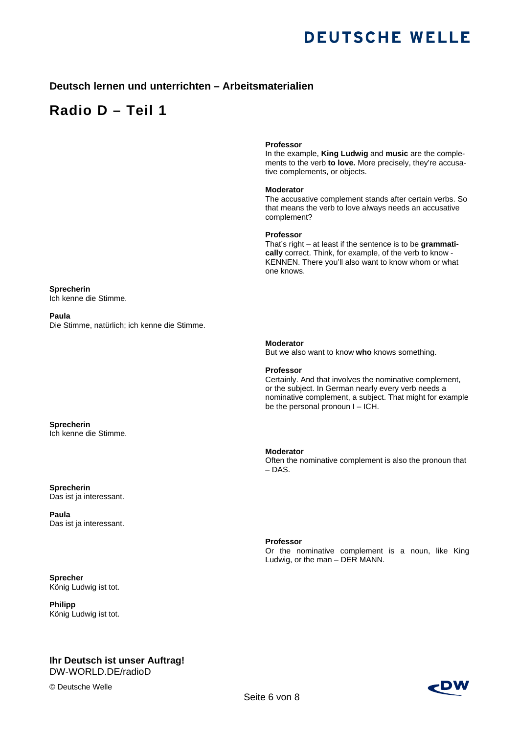### **Deutsch lernen und unterrichten – Arbeitsmaterialien**

## **Radio D – Teil 1**

#### **Professor**

In the example, **King Ludwig** and **music** are the complements to the verb **to love.** More precisely, they're accusative complements, or objects.

#### **Moderator**

The accusative complement stands after certain verbs. So that means the verb to love always needs an accusative complement?

#### **Professor**

That's right – at least if the sentence is to be **grammatically** correct. Think, for example, of the verb to know - KENNEN. There you'll also want to know whom or what one knows.

**Sprecherin**  Ich kenne die Stimme.

**Paula**  Die Stimme, natürlich; ich kenne die Stimme.

**Sprecherin** 

Ich kenne die Stimme.

**Sprecherin**  Das ist ja interessant.

**Paula**  Das ist ja interessant.

**Sprecher**  König Ludwig ist tot.

**Philipp**  König Ludwig ist tot.

## **Ihr Deutsch ist unser Auftrag!**

DW-WORLD.DE/radioD

© Deutsche Welle

#### **Moderator**

But we also want to know **who** knows something.

#### **Professor**

Certainly. And that involves the nominative complement, or the subject. In German nearly every verb needs a nominative complement, a subject. That might for example be the personal pronoun I – ICH.

#### **Moderator**

Often the nominative complement is also the pronoun that – DAS.

**Professor** 

Or the nominative complement is a noun, like King Ludwig, or the man – DER MANN.

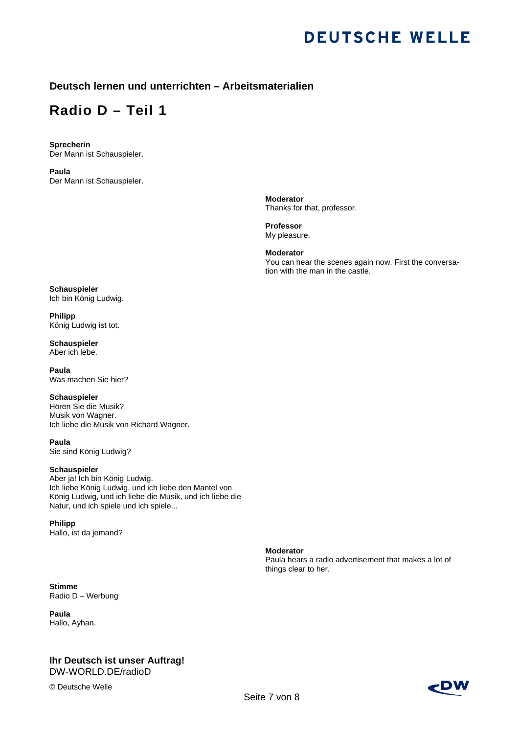### **Deutsch lernen und unterrichten – Arbeitsmaterialien**

# **Radio D – Teil 1**

**Sprecherin**  Der Mann ist Schauspieler.

**Paula**  Der Mann ist Schauspieler.

> **Moderator**  Thanks for that, professor.

**Professor**  My pleasure.

**Moderator**  You can hear the scenes again now. First the conversation with the man in the castle.

Paula hears a radio advertisement that makes a lot of

**Schauspieler**  Ich bin König Ludwig.

**Philipp**  König Ludwig ist tot.

**Schauspieler**  Aber ich lebe.

**Paula**  Was machen Sie hier?

**Schauspieler** 

Hören Sie die Musik? Musik von Wagner. Ich liebe die Musik von Richard Wagner.

**Paula**  Sie sind König Ludwig?

#### **Schauspieler**

Aber ja! Ich bin König Ludwig. Ich liebe König Ludwig, und ich liebe den Mantel von König Ludwig, und ich liebe die Musik, und ich liebe die Natur, und ich spiele und ich spiele...

**Philipp**  Hallo, ist da jemand?

**Stimme**  Radio D – Werbung

**Paula** Hallo, Ayhan.

#### **Ihr Deutsch ist unser Auftrag!**  DW-WORLD.DE/radioD

© Deutsche Welle

## 2DV

**Moderator** 

things clear to her.